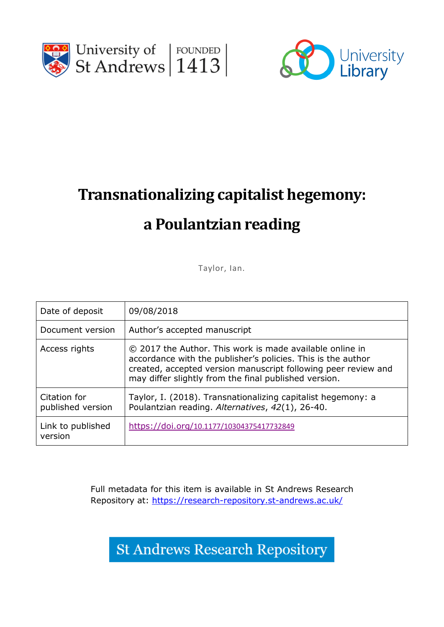



# **Transnationalizing capitalist hegemony:**

## **a Poulantzian reading**

Taylor, Ian.

| Date of deposit                   | 09/08/2018                                                                                                                                                                                                                                          |
|-----------------------------------|-----------------------------------------------------------------------------------------------------------------------------------------------------------------------------------------------------------------------------------------------------|
| Document version                  | Author's accepted manuscript                                                                                                                                                                                                                        |
| Access rights                     | © 2017 the Author. This work is made available online in<br>accordance with the publisher's policies. This is the author<br>created, accepted version manuscript following peer review and<br>may differ slightly from the final published version. |
| Citation for<br>published version | Taylor, I. (2018). Transnationalizing capitalist hegemony: a<br>Poulantzian reading. Alternatives, 42(1), 26-40.                                                                                                                                    |
| Link to published<br>version      | https://doi.org/10.1177/10304375417732849                                                                                                                                                                                                           |

Full metadata for this item is available in St Andrews Research Repository at:<https://research-repository.st-andrews.ac.uk/>

**St Andrews Research Repository**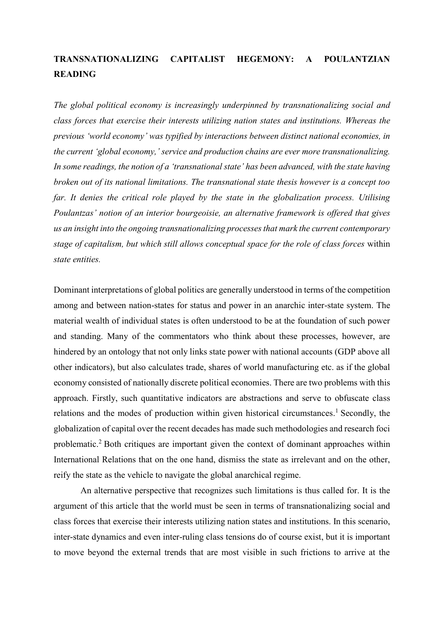## **TRANSNATIONALIZING CAPITALIST HEGEMONY: A POULANTZIAN READING**

*The global political economy is increasingly underpinned by transnationalizing social and class forces that exercise their interests utilizing nation states and institutions. Whereas the previous 'world economy' was typified by interactions between distinct national economies, in the current 'global economy,' service and production chains are ever more transnationalizing. In some readings, the notion of a 'transnational state' has been advanced, with the state having broken out of its national limitations. The transnational state thesis however is a concept too*  far. It denies the critical role played by the state in the globalization process. Utilising *Poulantzas' notion of an interior bourgeoisie, an alternative framework is offered that gives us an insight into the ongoing transnationalizing processes that mark the current contemporary stage of capitalism, but which still allows conceptual space for the role of class forces* within *state entities.*

Dominant interpretations of global politics are generally understood in terms of the competition among and between nation-states for status and power in an anarchic inter-state system. The material wealth of individual states is often understood to be at the foundation of such power and standing. Many of the commentators who think about these processes, however, are hindered by an ontology that not only links state power with national accounts (GDP above all other indicators), but also calculates trade, shares of world manufacturing etc. as if the global economy consisted of nationally discrete political economies. There are two problems with this approach. Firstly, such quantitative indicators are abstractions and serve to obfuscate class relations and the modes of production within given historical circumstances. <sup>1</sup> Secondly, the globalization of capital over the recent decades has made such methodologies and research foci problematic. <sup>2</sup> Both critiques are important given the context of dominant approaches within International Relations that on the one hand, dismiss the state as irrelevant and on the other, reify the state as the vehicle to navigate the global anarchical regime.

An alternative perspective that recognizes such limitations is thus called for. It is the argument of this article that the world must be seen in terms of transnationalizing social and class forces that exercise their interests utilizing nation states and institutions. In this scenario, inter-state dynamics and even inter-ruling class tensions do of course exist, but it is important to move beyond the external trends that are most visible in such frictions to arrive at the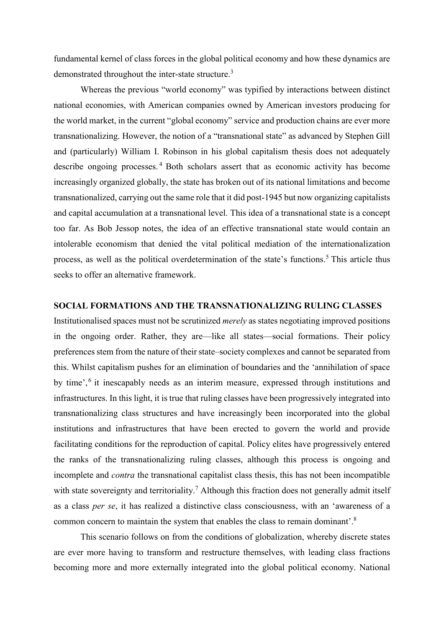fundamental kernel of class forces in the global political economy and how these dynamics are demonstrated throughout the inter-state structure.<sup>3</sup>

Whereas the previous "world economy" was typified by interactions between distinct national economies, with American companies owned by American investors producing for the world market, in the current "global economy" service and production chains are ever more transnationalizing. However, the notion of a "transnational state" as advanced by Stephen Gill and (particularly) William I. Robinson in his global capitalism thesis does not adequately describe ongoing processes. <sup>4</sup> Both scholars assert that as economic activity has become increasingly organized globally, the state has broken out of its national limitations and become transnationalized, carrying out the same role that it did post-1945 but now organizing capitalists and capital accumulation at a transnational level. This idea of a transnational state is a concept too far. As Bob Jessop notes, the idea of an effective transnational state would contain an intolerable economism that denied the vital political mediation of the internationalization process, as well as the political overdetermination of the state's functions.<sup>5</sup> This article thus seeks to offer an alternative framework.

#### **SOCIAL FORMATIONS AND THE TRANSNATIONALIZING RULING CLASSES**

Institutionalised spaces must not be scrutinized *merely* as states negotiating improved positions in the ongoing order. Rather, they are—like all states—social formations. Their policy preferences stem from the nature of their state–society complexes and cannot be separated from this. Whilst capitalism pushes for an elimination of boundaries and the 'annihilation of space by time',<sup>6</sup> it inescapably needs as an interim measure, expressed through institutions and infrastructures. In this light, it is true that ruling classes have been progressively integrated into transnationalizing class structures and have increasingly been incorporated into the global institutions and infrastructures that have been erected to govern the world and provide facilitating conditions for the reproduction of capital. Policy elites have progressively entered the ranks of the transnationalizing ruling classes, although this process is ongoing and incomplete and *contra* the transnational capitalist class thesis, this has not been incompatible with state sovereignty and territoriality.<sup>7</sup> Although this fraction does not generally admit itself as a class *per se*, it has realized a distinctive class consciousness, with an 'awareness of a common concern to maintain the system that enables the class to remain dominant'. 8

This scenario follows on from the conditions of globalization, whereby discrete states are ever more having to transform and restructure themselves, with leading class fractions becoming more and more externally integrated into the global political economy. National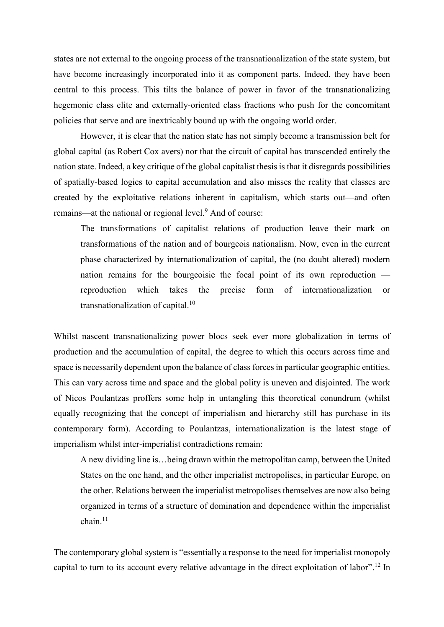states are not external to the ongoing process of the transnationalization of the state system, but have become increasingly incorporated into it as component parts. Indeed, they have been central to this process. This tilts the balance of power in favor of the transnationalizing hegemonic class elite and externally-oriented class fractions who push for the concomitant policies that serve and are inextricably bound up with the ongoing world order.

However, it is clear that the nation state has not simply become a transmission belt for global capital (as Robert Cox avers) nor that the circuit of capital has transcended entirely the nation state. Indeed, a key critique of the global capitalist thesis is that it disregards possibilities of spatially-based logics to capital accumulation and also misses the reality that classes are created by the exploitative relations inherent in capitalism, which starts out—and often remains—at the national or regional level.<sup>9</sup> And of course:

The transformations of capitalist relations of production leave their mark on transformations of the nation and of bourgeois nationalism. Now, even in the current phase characterized by internationalization of capital, the (no doubt altered) modern nation remains for the bourgeoisie the focal point of its own reproduction reproduction which takes the precise form of internationalization or transnationalization of capital.<sup>10</sup>

Whilst nascent transnationalizing power blocs seek ever more globalization in terms of production and the accumulation of capital, the degree to which this occurs across time and space is necessarily dependent upon the balance of class forces in particular geographic entities. This can vary across time and space and the global polity is uneven and disjointed. The work of Nicos Poulantzas proffers some help in untangling this theoretical conundrum (whilst equally recognizing that the concept of imperialism and hierarchy still has purchase in its contemporary form). According to Poulantzas, internationalization is the latest stage of imperialism whilst inter-imperialist contradictions remain:

A new dividing line is…being drawn within the metropolitan camp, between the United States on the one hand, and the other imperialist metropolises, in particular Europe, on the other. Relations between the imperialist metropolises themselves are now also being organized in terms of a structure of domination and dependence within the imperialist  $chain<sup>11</sup>$ 

The contemporary global system is "essentially a response to the need for imperialist monopoly capital to turn to its account every relative advantage in the direct exploitation of labor". <sup>12</sup> In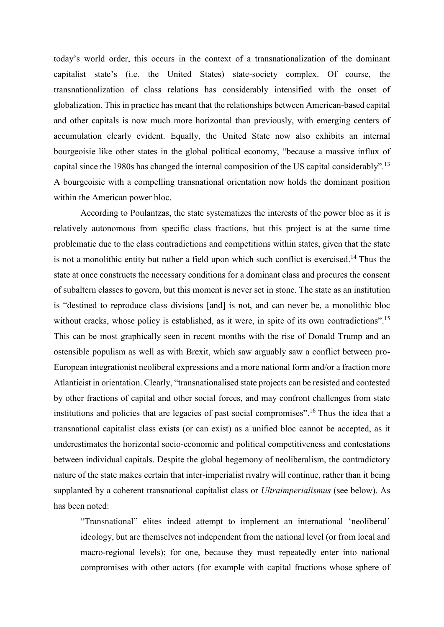today's world order, this occurs in the context of a transnationalization of the dominant capitalist state's (i.e. the United States) state-society complex. Of course, the transnationalization of class relations has considerably intensified with the onset of globalization. This in practice has meant that the relationships between American-based capital and other capitals is now much more horizontal than previously, with emerging centers of accumulation clearly evident. Equally, the United State now also exhibits an internal bourgeoisie like other states in the global political economy, "because a massive influx of capital since the 1980s has changed the internal composition of the US capital considerably".<sup>13</sup> A bourgeoisie with a compelling transnational orientation now holds the dominant position within the American power bloc.

According to Poulantzas, the state systematizes the interests of the power bloc as it is relatively autonomous from specific class fractions, but this project is at the same time problematic due to the class contradictions and competitions within states, given that the state is not a monolithic entity but rather a field upon which such conflict is exercised.<sup>14</sup> Thus the state at once constructs the necessary conditions for a dominant class and procures the consent of subaltern classes to govern, but this moment is never set in stone. The state as an institution is "destined to reproduce class divisions [and] is not, and can never be, a monolithic bloc without cracks, whose policy is established, as it were, in spite of its own contradictions".<sup>15</sup> This can be most graphically seen in recent months with the rise of Donald Trump and an ostensible populism as well as with Brexit, which saw arguably saw a conflict between pro-European integrationist neoliberal expressions and a more national form and/or a fraction more Atlanticist in orientation. Clearly, "transnationalised state projects can be resisted and contested by other fractions of capital and other social forces, and may confront challenges from state institutions and policies that are legacies of past social compromises". <sup>16</sup> Thus the idea that a transnational capitalist class exists (or can exist) as a unified bloc cannot be accepted, as it underestimates the horizontal socio-economic and political competitiveness and contestations between individual capitals. Despite the global hegemony of neoliberalism, the contradictory nature of the state makes certain that inter-imperialist rivalry will continue, rather than it being supplanted by a coherent transnational capitalist class or *Ultraimperialismus* (see below). As has been noted:

"Transnational" elites indeed attempt to implement an international 'neoliberal' ideology, but are themselves not independent from the national level (or from local and macro-regional levels); for one, because they must repeatedly enter into national compromises with other actors (for example with capital fractions whose sphere of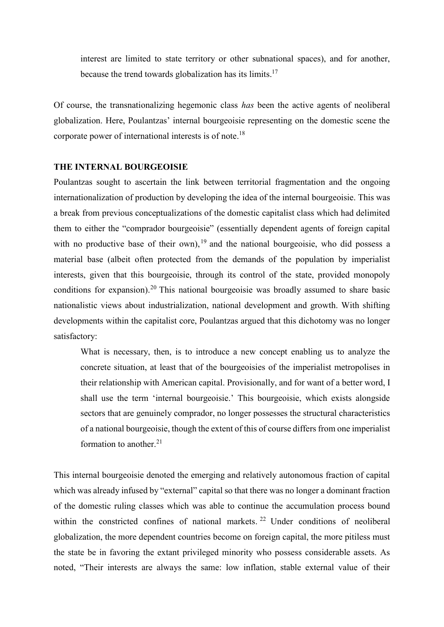interest are limited to state territory or other subnational spaces), and for another, because the trend towards globalization has its limits.<sup>17</sup>

Of course, the transnationalizing hegemonic class *has* been the active agents of neoliberal globalization. Here, Poulantzas' internal bourgeoisie representing on the domestic scene the corporate power of international interests is of note.<sup>18</sup>

#### **THE INTERNAL BOURGEOISIE**

Poulantzas sought to ascertain the link between territorial fragmentation and the ongoing internationalization of production by developing the idea of the internal bourgeoisie. This was a break from previous conceptualizations of the domestic capitalist class which had delimited them to either the "comprador bourgeoisie" (essentially dependent agents of foreign capital with no productive base of their own),  $19$  and the national bourgeoisie, who did possess a material base (albeit often protected from the demands of the population by imperialist interests, given that this bourgeoisie, through its control of the state, provided monopoly conditions for expansion).<sup>20</sup> This national bourgeoisie was broadly assumed to share basic nationalistic views about industrialization, national development and growth. With shifting developments within the capitalist core, Poulantzas argued that this dichotomy was no longer satisfactory:

What is necessary, then, is to introduce a new concept enabling us to analyze the concrete situation, at least that of the bourgeoisies of the imperialist metropolises in their relationship with American capital. Provisionally, and for want of a better word, I shall use the term 'internal bourgeoisie.' This bourgeoisie, which exists alongside sectors that are genuinely comprador, no longer possesses the structural characteristics of a national bourgeoisie, though the extent of this of course differs from one imperialist formation to another. $21$ 

This internal bourgeoisie denoted the emerging and relatively autonomous fraction of capital which was already infused by "external" capital so that there was no longer a dominant fraction of the domestic ruling classes which was able to continue the accumulation process bound within the constricted confines of national markets.<sup>22</sup> Under conditions of neoliberal globalization, the more dependent countries become on foreign capital, the more pitiless must the state be in favoring the extant privileged minority who possess considerable assets. As noted, "Their interests are always the same: low inflation, stable external value of their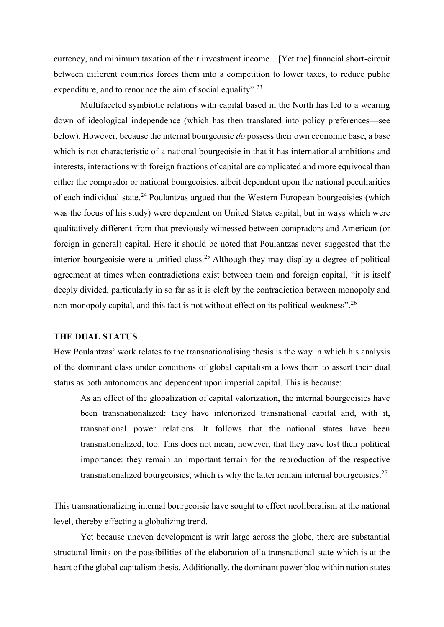currency, and minimum taxation of their investment income…[Yet the] financial short-circuit between different countries forces them into a competition to lower taxes, to reduce public expenditure, and to renounce the aim of social equality".<sup>23</sup>

Multifaceted symbiotic relations with capital based in the North has led to a wearing down of ideological independence (which has then translated into policy preferences—see below). However, because the internal bourgeoisie *do* possess their own economic base, a base which is not characteristic of a national bourgeoisie in that it has international ambitions and interests, interactions with foreign fractions of capital are complicated and more equivocal than either the comprador or national bourgeoisies, albeit dependent upon the national peculiarities of each individual state.<sup>24</sup> Poulantzas argued that the Western European bourgeoisies (which was the focus of his study) were dependent on United States capital, but in ways which were qualitatively different from that previously witnessed between compradors and American (or foreign in general) capital. Here it should be noted that Poulantzas never suggested that the interior bourgeoisie were a unified class. <sup>25</sup> Although they may display a degree of political agreement at times when contradictions exist between them and foreign capital, "it is itself deeply divided, particularly in so far as it is cleft by the contradiction between monopoly and non-monopoly capital, and this fact is not without effect on its political weakness".<sup>26</sup>

#### **THE DUAL STATUS**

How Poulantzas' work relates to the transnationalising thesis is the way in which his analysis of the dominant class under conditions of global capitalism allows them to assert their dual status as both autonomous and dependent upon imperial capital. This is because:

As an effect of the globalization of capital valorization, the internal bourgeoisies have been transnationalized: they have interiorized transnational capital and, with it, transnational power relations. It follows that the national states have been transnationalized, too. This does not mean, however, that they have lost their political importance: they remain an important terrain for the reproduction of the respective transnationalized bourgeoisies, which is why the latter remain internal bourgeoisies.<sup>27</sup>

This transnationalizing internal bourgeoisie have sought to effect neoliberalism at the national level, thereby effecting a globalizing trend.

Yet because uneven development is writ large across the globe, there are substantial structural limits on the possibilities of the elaboration of a transnational state which is at the heart of the global capitalism thesis. Additionally, the dominant power bloc within nation states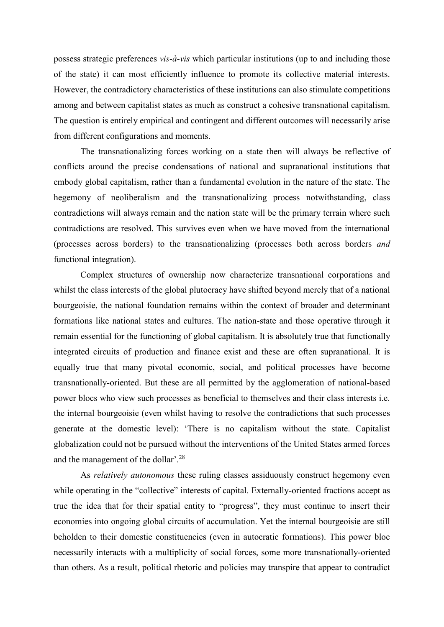possess strategic preferences *vis-à-vis* which particular institutions (up to and including those of the state) it can most efficiently influence to promote its collective material interests. However, the contradictory characteristics of these institutions can also stimulate competitions among and between capitalist states as much as construct a cohesive transnational capitalism. The question is entirely empirical and contingent and different outcomes will necessarily arise from different configurations and moments.

The transnationalizing forces working on a state then will always be reflective of conflicts around the precise condensations of national and supranational institutions that embody global capitalism, rather than a fundamental evolution in the nature of the state. The hegemony of neoliberalism and the transnationalizing process notwithstanding, class contradictions will always remain and the nation state will be the primary terrain where such contradictions are resolved. This survives even when we have moved from the international (processes across borders) to the transnationalizing (processes both across borders *and*  functional integration).

Complex structures of ownership now characterize transnational corporations and whilst the class interests of the global plutocracy have shifted beyond merely that of a national bourgeoisie, the national foundation remains within the context of broader and determinant formations like national states and cultures. The nation-state and those operative through it remain essential for the functioning of global capitalism. It is absolutely true that functionally integrated circuits of production and finance exist and these are often supranational. It is equally true that many pivotal economic, social, and political processes have become transnationally-oriented. But these are all permitted by the agglomeration of national-based power blocs who view such processes as beneficial to themselves and their class interests i.e. the internal bourgeoisie (even whilst having to resolve the contradictions that such processes generate at the domestic level): 'There is no capitalism without the state. Capitalist globalization could not be pursued without the interventions of the United States armed forces and the management of the dollar'. 28

As *relatively autonomous* these ruling classes assiduously construct hegemony even while operating in the "collective" interests of capital. Externally-oriented fractions accept as true the idea that for their spatial entity to "progress", they must continue to insert their economies into ongoing global circuits of accumulation. Yet the internal bourgeoisie are still beholden to their domestic constituencies (even in autocratic formations). This power bloc necessarily interacts with a multiplicity of social forces, some more transnationally-oriented than others. As a result, political rhetoric and policies may transpire that appear to contradict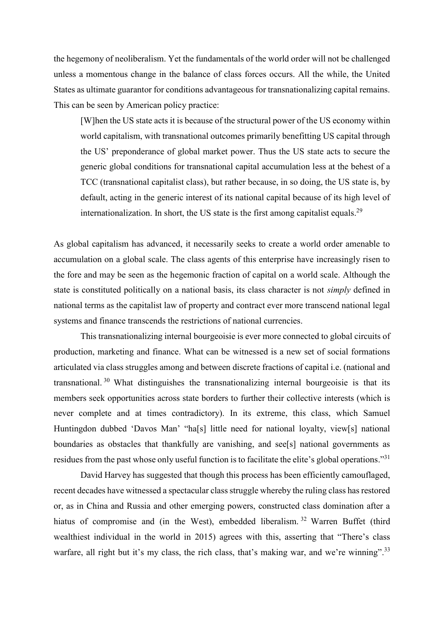the hegemony of neoliberalism. Yet the fundamentals of the world order will not be challenged unless a momentous change in the balance of class forces occurs. All the while, the United States as ultimate guarantor for conditions advantageous for transnationalizing capital remains. This can be seen by American policy practice:

[W]hen the US state acts it is because of the structural power of the US economy within world capitalism, with transnational outcomes primarily benefitting US capital through the US' preponderance of global market power. Thus the US state acts to secure the generic global conditions for transnational capital accumulation less at the behest of a TCC (transnational capitalist class), but rather because, in so doing, the US state is, by default, acting in the generic interest of its national capital because of its high level of internationalization. In short, the US state is the first among capitalist equals.<sup>29</sup>

As global capitalism has advanced, it necessarily seeks to create a world order amenable to accumulation on a global scale. The class agents of this enterprise have increasingly risen to the fore and may be seen as the hegemonic fraction of capital on a world scale. Although the state is constituted politically on a national basis, its class character is not *simply* defined in national terms as the capitalist law of property and contract ever more transcend national legal systems and finance transcends the restrictions of national currencies.

This transnationalizing internal bourgeoisie is ever more connected to global circuits of production, marketing and finance. What can be witnessed is a new set of social formations articulated via class struggles among and between discrete fractions of capital i.e. (national and transnational.<sup>30</sup> What distinguishes the transnationalizing internal bourgeoisie is that its members seek opportunities across state borders to further their collective interests (which is never complete and at times contradictory). In its extreme, this class, which Samuel Huntingdon dubbed 'Davos Man' "ha[s] little need for national loyalty, view[s] national boundaries as obstacles that thankfully are vanishing, and see[s] national governments as residues from the past whose only useful function is to facilitate the elite's global operations."<sup>31</sup>

David Harvey has suggested that though this process has been efficiently camouflaged, recent decades have witnessed a spectacular class struggle whereby the ruling class has restored or, as in China and Russia and other emerging powers, constructed class domination after a hiatus of compromise and (in the West), embedded liberalism.<sup>32</sup> Warren Buffet (third wealthiest individual in the world in 2015) agrees with this, asserting that "There's class warfare, all right but it's my class, the rich class, that's making war, and we're winning".<sup>33</sup>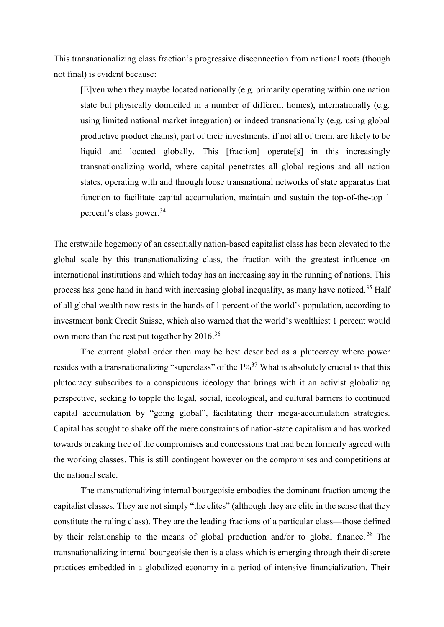This transnationalizing class fraction's progressive disconnection from national roots (though not final) is evident because:

[E]ven when they maybe located nationally (e.g. primarily operating within one nation state but physically domiciled in a number of different homes), internationally (e.g. using limited national market integration) or indeed transnationally (e.g. using global productive product chains), part of their investments, if not all of them, are likely to be liquid and located globally. This [fraction] operate[s] in this increasingly transnationalizing world, where capital penetrates all global regions and all nation states, operating with and through loose transnational networks of state apparatus that function to facilitate capital accumulation, maintain and sustain the top-of-the-top 1 percent's class power. 34

The erstwhile hegemony of an essentially nation-based capitalist class has been elevated to the global scale by this transnationalizing class, the fraction with the greatest influence on international institutions and which today has an increasing say in the running of nations. This process has gone hand in hand with increasing global inequality, as many have noticed.<sup>35</sup> Half of all global wealth now rests in the hands of 1 percent of the world's population, according to investment bank Credit Suisse, which also warned that the world's wealthiest 1 percent would own more than the rest put together by 2016.<sup>36</sup>

The current global order then may be best described as a plutocracy where power resides with a transnationalizing "superclass" of the  $1\%^{37}$  What is absolutely crucial is that this plutocracy subscribes to a conspicuous ideology that brings with it an activist globalizing perspective, seeking to topple the legal, social, ideological, and cultural barriers to continued capital accumulation by "going global", facilitating their mega-accumulation strategies. Capital has sought to shake off the mere constraints of nation-state capitalism and has worked towards breaking free of the compromises and concessions that had been formerly agreed with the working classes. This is still contingent however on the compromises and competitions at the national scale.

The transnationalizing internal bourgeoisie embodies the dominant fraction among the capitalist classes. They are not simply "the elites" (although they are elite in the sense that they constitute the ruling class). They are the leading fractions of a particular class—those defined by their relationship to the means of global production and/or to global finance. <sup>38</sup> The transnationalizing internal bourgeoisie then is a class which is emerging through their discrete practices embedded in a globalized economy in a period of intensive financialization. Their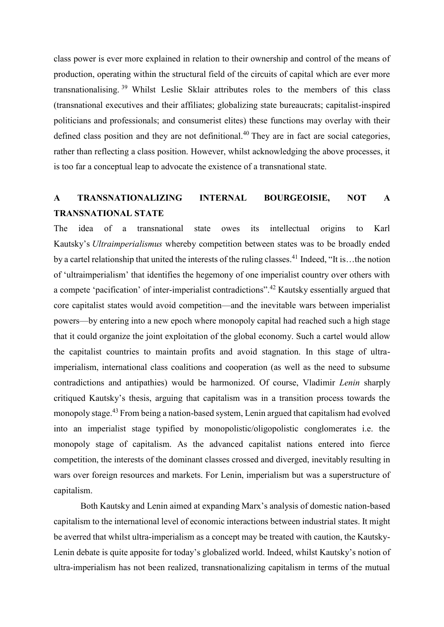class power is ever more explained in relation to their ownership and control of the means of production, operating within the structural field of the circuits of capital which are ever more transnationalising. <sup>39</sup> Whilst Leslie Sklair attributes roles to the members of this class (transnational executives and their affiliates; globalizing state bureaucrats; capitalist-inspired politicians and professionals; and consumerist elites) these functions may overlay with their defined class position and they are not definitional.<sup>40</sup> They are in fact are social categories, rather than reflecting a class position. However, whilst acknowledging the above processes, it is too far a conceptual leap to advocate the existence of a transnational state.

### **A TRANSNATIONALIZING INTERNAL BOURGEOISIE, NOT A TRANSNATIONAL STATE**

The idea of a transnational state owes its intellectual origins to Karl Kautsky's *Ultraimperialismus* whereby competition between states was to be broadly ended by a cartel relationship that united the interests of the ruling classes.<sup>41</sup> Indeed, "It is...the notion of 'ultraimperialism' that identifies the hegemony of one imperialist country over others with a compete 'pacification' of inter-imperialist contradictions".<sup>42</sup> Kautsky essentially argued that core capitalist states would avoid competition—and the inevitable wars between imperialist powers—by entering into a new epoch where monopoly capital had reached such a high stage that it could organize the joint exploitation of the global economy. Such a cartel would allow the capitalist countries to maintain profits and avoid stagnation. In this stage of ultraimperialism, international class coalitions and cooperation (as well as the need to subsume contradictions and antipathies) would be harmonized. Of course, Vladimir *Lenin* sharply critiqued Kautsky's thesis, arguing that capitalism was in a transition process towards the monopoly stage.<sup>43</sup> From being a nation-based system, Lenin argued that capitalism had evolved into an imperialist stage typified by monopolistic/oligopolistic conglomerates i.e. the monopoly stage of capitalism. As the advanced capitalist nations entered into fierce competition, the interests of the dominant classes crossed and diverged, inevitably resulting in wars over foreign resources and markets. For Lenin, imperialism but was a superstructure of capitalism.

Both Kautsky and Lenin aimed at expanding Marx's analysis of domestic nation-based capitalism to the international level of economic interactions between industrial states. It might be averred that whilst ultra-imperialism as a concept may be treated with caution, the Kautsky-Lenin debate is quite apposite for today's globalized world. Indeed, whilst Kautsky's notion of ultra-imperialism has not been realized, transnationalizing capitalism in terms of the mutual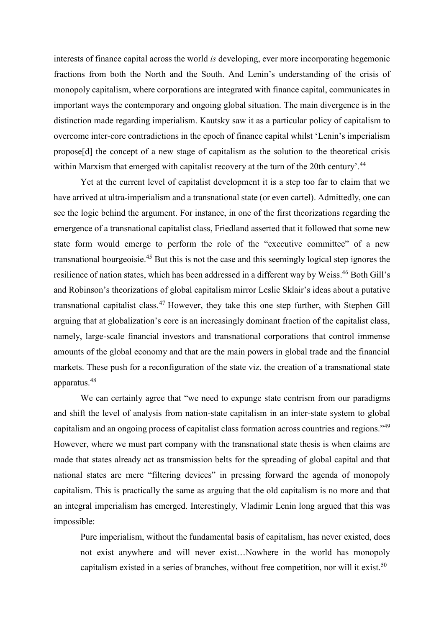interests of finance capital across the world *is* developing, ever more incorporating hegemonic fractions from both the North and the South. And Lenin's understanding of the crisis of monopoly capitalism, where corporations are integrated with finance capital, communicates in important ways the contemporary and ongoing global situation. The main divergence is in the distinction made regarding imperialism. Kautsky saw it as a particular policy of capitalism to overcome inter-core contradictions in the epoch of finance capital whilst 'Lenin's imperialism propose[d] the concept of a new stage of capitalism as the solution to the theoretical crisis within Marxism that emerged with capitalist recovery at the turn of the 20th century'.<sup>44</sup>

Yet at the current level of capitalist development it is a step too far to claim that we have arrived at ultra-imperialism and a transnational state (or even cartel). Admittedly, one can see the logic behind the argument. For instance, in one of the first theorizations regarding the emergence of a transnational capitalist class, Friedland asserted that it followed that some new state form would emerge to perform the role of the "executive committee" of a new transnational bourgeoisie.<sup>45</sup> But this is not the case and this seemingly logical step ignores the resilience of nation states, which has been addressed in a different way by Weiss.<sup>46</sup> Both Gill's and Robinson's theorizations of global capitalism mirror Leslie Sklair's ideas about a putative transnational capitalist class. <sup>47</sup> However, they take this one step further, with Stephen Gill arguing that at globalization's core is an increasingly dominant fraction of the capitalist class, namely, large-scale financial investors and transnational corporations that control immense amounts of the global economy and that are the main powers in global trade and the financial markets. These push for a reconfiguration of the state viz. the creation of a transnational state apparatus. 48

We can certainly agree that "we need to expunge state centrism from our paradigms and shift the level of analysis from nation-state capitalism in an inter-state system to global capitalism and an ongoing process of capitalist class formation across countries and regions."<sup>49</sup> However, where we must part company with the transnational state thesis is when claims are made that states already act as transmission belts for the spreading of global capital and that national states are mere "filtering devices" in pressing forward the agenda of monopoly capitalism. This is practically the same as arguing that the old capitalism is no more and that an integral imperialism has emerged. Interestingly, Vladimir Lenin long argued that this was impossible:

Pure imperialism, without the fundamental basis of capitalism, has never existed, does not exist anywhere and will never exist…Nowhere in the world has monopoly capitalism existed in a series of branches, without free competition, nor will it exist.<sup>50</sup>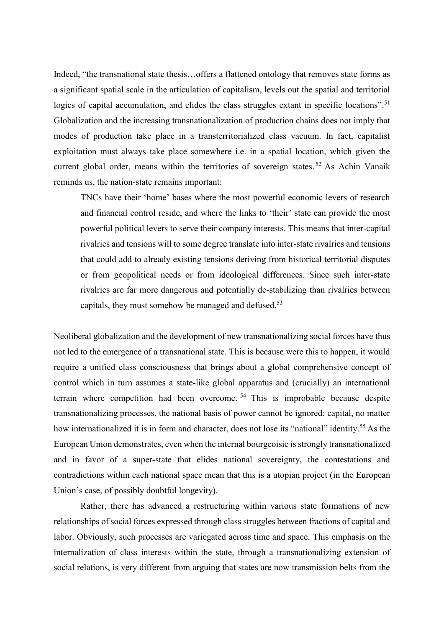Indeed, "the transnational state thesis…offers a flattened ontology that removes state forms as a significant spatial scale in the articulation of capitalism, levels out the spatial and territorial logics of capital accumulation, and elides the class struggles extant in specific locations".<sup>51</sup> Globalization and the increasing transnationalization of production chains does not imply that modes of production take place in a transterritorialized class vacuum. In fact, capitalist exploitation must always take place somewhere i.e. in a spatial location, which given the current global order, means within the territories of sovereign states.<sup>52</sup> As Achin Vanaik reminds us, the nation-state remains important:

TNCs have their 'home' bases where the most powerful economic levers of research and financial control reside, and where the links to 'their' state can provide the most powerful political levers to serve their company interests. This means that inter-capital rivalries and tensions will to some degree translate into inter-state rivalries and tensions that could add to already existing tensions deriving from historical territorial disputes or from geopolitical needs or from ideological differences. Since such inter-state rivalries are far more dangerous and potentially de-stabilizing than rivalries between capitals, they must somehow be managed and defused.<sup>53</sup>

Neoliberal globalization and the development of new transnationalizing social forces have thus not led to the emergence of a transnational state. This is because were this to happen, it would require a unified class consciousness that brings about a global comprehensive concept of control which in turn assumes a state-like global apparatus and (crucially) an international terrain where competition had been overcome. <sup>54</sup> This is improbable because despite transnationalizing processes, the national basis of power cannot be ignored: capital, no matter how internationalized it is in form and character, does not lose its "national" identity.<sup>55</sup> As the European Union demonstrates, even when the internal bourgeoisie is strongly transnationalized and in favor of a super-state that elides national sovereignty, the contestations and contradictions within each national space mean that this is a utopian project (in the European Union's case, of possibly doubtful longevity).

Rather, there has advanced a restructuring within various state formations of new relationships of social forces expressed through class struggles between fractions of capital and labor. Obviously, such processes are variegated across time and space. This emphasis on the internalization of class interests within the state, through a transnationalizing extension of social relations, is very different from arguing that states are now transmission belts from the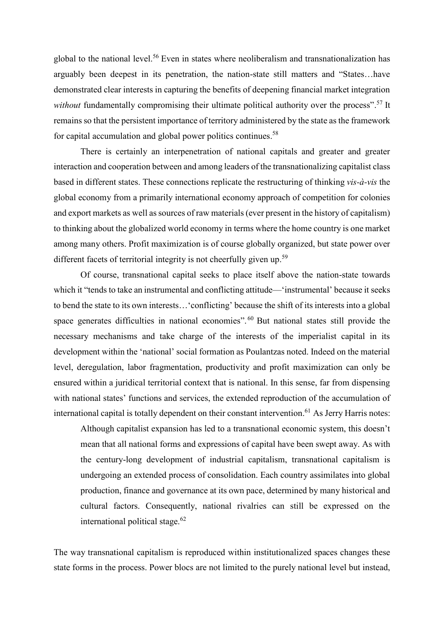global to the national level. <sup>56</sup> Even in states where neoliberalism and transnationalization has arguably been deepest in its penetration, the nation-state still matters and "States…have demonstrated clear interests in capturing the benefits of deepening financial market integration without fundamentally compromising their ultimate political authority over the process".<sup>57</sup> It remains so that the persistent importance of territory administered by the state as the framework for capital accumulation and global power politics continues.<sup>58</sup>

There is certainly an interpenetration of national capitals and greater and greater interaction and cooperation between and among leaders of the transnationalizing capitalist class based in different states. These connections replicate the restructuring of thinking *vis-à-vis* the global economy from a primarily international economy approach of competition for colonies and export markets as well as sources of raw materials (ever present in the history of capitalism) to thinking about the globalized world economy in terms where the home country is one market among many others. Profit maximization is of course globally organized, but state power over different facets of territorial integrity is not cheerfully given up.<sup>59</sup>

Of course, transnational capital seeks to place itself above the nation-state towards which it "tends to take an instrumental and conflicting attitude—'instrumental' because it seeks to bend the state to its own interests…'conflicting' because the shift of its interests into a global space generates difficulties in national economies".<sup>60</sup> But national states still provide the necessary mechanisms and take charge of the interests of the imperialist capital in its development within the 'national' social formation as Poulantzas noted. Indeed on the material level, deregulation, labor fragmentation, productivity and profit maximization can only be ensured within a juridical territorial context that is national. In this sense, far from dispensing with national states' functions and services, the extended reproduction of the accumulation of international capital is totally dependent on their constant intervention. <sup>61</sup> As Jerry Harris notes:

Although capitalist expansion has led to a transnational economic system, this doesn't mean that all national forms and expressions of capital have been swept away. As with the century-long development of industrial capitalism, transnational capitalism is undergoing an extended process of consolidation. Each country assimilates into global production, finance and governance at its own pace, determined by many historical and cultural factors. Consequently, national rivalries can still be expressed on the international political stage. $62$ 

The way transnational capitalism is reproduced within institutionalized spaces changes these state forms in the process. Power blocs are not limited to the purely national level but instead,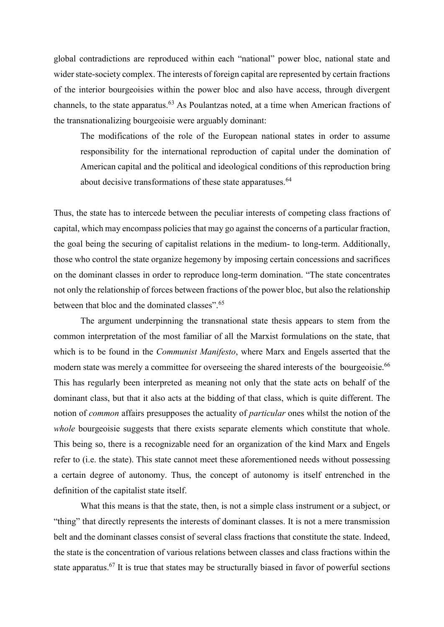global contradictions are reproduced within each "national" power bloc, national state and wider state-society complex. The interests of foreign capital are represented by certain fractions of the interior bourgeoisies within the power bloc and also have access, through divergent channels, to the state apparatus. <sup>63</sup> As Poulantzas noted, at a time when American fractions of the transnationalizing bourgeoisie were arguably dominant:

The modifications of the role of the European national states in order to assume responsibility for the international reproduction of capital under the domination of American capital and the political and ideological conditions of this reproduction bring about decisive transformations of these state apparatuses.<sup>64</sup>

Thus, the state has to intercede between the peculiar interests of competing class fractions of capital, which may encompass policies that may go against the concerns of a particular fraction, the goal being the securing of capitalist relations in the medium- to long-term. Additionally, those who control the state organize hegemony by imposing certain concessions and sacrifices on the dominant classes in order to reproduce long-term domination. "The state concentrates not only the relationship of forces between fractions of the power bloc, but also the relationship between that bloc and the dominated classes". 65

The argument underpinning the transnational state thesis appears to stem from the common interpretation of the most familiar of all the Marxist formulations on the state, that which is to be found in the *Communist Manifesto*, where Marx and Engels asserted that the modern state was merely a committee for overseeing the shared interests of the bourgeoisie.<sup>66</sup> This has regularly been interpreted as meaning not only that the state acts on behalf of the dominant class, but that it also acts at the bidding of that class, which is quite different. The notion of *common* affairs presupposes the actuality of *particular* ones whilst the notion of the *whole* bourgeoisie suggests that there exists separate elements which constitute that whole. This being so, there is a recognizable need for an organization of the kind Marx and Engels refer to (i.e. the state). This state cannot meet these aforementioned needs without possessing a certain degree of autonomy. Thus, the concept of autonomy is itself entrenched in the definition of the capitalist state itself.

What this means is that the state, then, is not a simple class instrument or a subject, or "thing" that directly represents the interests of dominant classes. It is not a mere transmission belt and the dominant classes consist of several class fractions that constitute the state. Indeed, the state is the concentration of various relations between classes and class fractions within the state apparatus.<sup>67</sup> It is true that states may be structurally biased in favor of powerful sections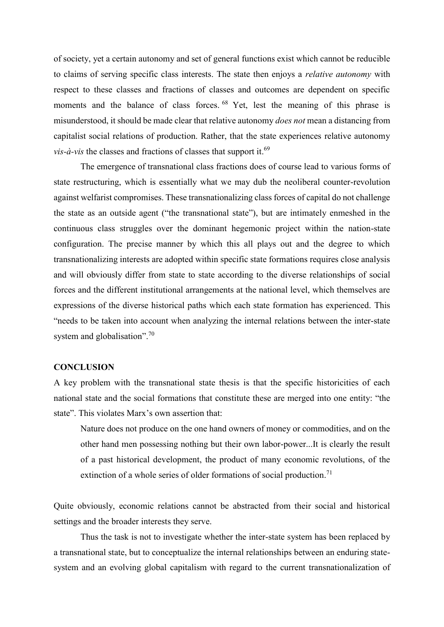of society, yet a certain autonomy and set of general functions exist which cannot be reducible to claims of serving specific class interests. The state then enjoys a *relative autonomy* with respect to these classes and fractions of classes and outcomes are dependent on specific moments and the balance of class forces. <sup>68</sup> Yet, lest the meaning of this phrase is misunderstood, it should be made clear that relative autonomy *does not* mean a distancing from capitalist social relations of production. Rather, that the state experiences relative autonomy  $vis-\hat{a}-vis$  the classes and fractions of classes that support it.<sup>69</sup>

The emergence of transnational class fractions does of course lead to various forms of state restructuring, which is essentially what we may dub the neoliberal counter-revolution against welfarist compromises. These transnationalizing class forces of capital do not challenge the state as an outside agent ("the transnational state"), but are intimately enmeshed in the continuous class struggles over the dominant hegemonic project within the nation-state configuration. The precise manner by which this all plays out and the degree to which transnationalizing interests are adopted within specific state formations requires close analysis and will obviously differ from state to state according to the diverse relationships of social forces and the different institutional arrangements at the national level, which themselves are expressions of the diverse historical paths which each state formation has experienced. This "needs to be taken into account when analyzing the internal relations between the inter-state system and globalisation".<sup>70</sup>

#### **CONCLUSION**

A key problem with the transnational state thesis is that the specific historicities of each national state and the social formations that constitute these are merged into one entity: "the state". This violates Marx's own assertion that:

Nature does not produce on the one hand owners of money or commodities, and on the other hand men possessing nothing but their own labor-power...It is clearly the result of a past historical development, the product of many economic revolutions, of the extinction of a whole series of older formations of social production.<sup>71</sup>

Quite obviously, economic relations cannot be abstracted from their social and historical settings and the broader interests they serve.

Thus the task is not to investigate whether the inter-state system has been replaced by a transnational state, but to conceptualize the internal relationships between an enduring statesystem and an evolving global capitalism with regard to the current transnationalization of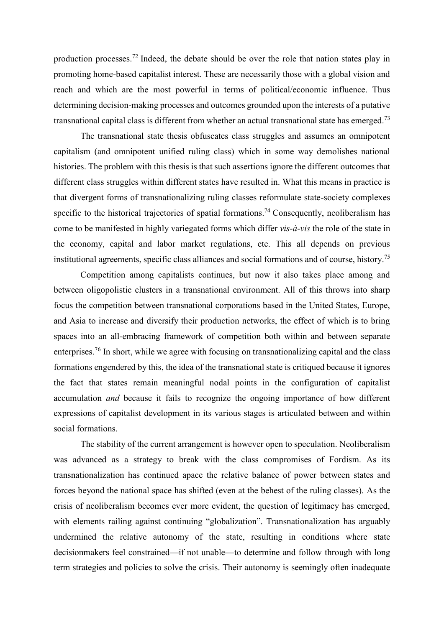production processes.<sup>72</sup> Indeed, the debate should be over the role that nation states play in promoting home-based capitalist interest. These are necessarily those with a global vision and reach and which are the most powerful in terms of political/economic influence. Thus determining decision-making processes and outcomes grounded upon the interests of a putative transnational capital class is different from whether an actual transnational state has emerged.<sup>73</sup>

The transnational state thesis obfuscates class struggles and assumes an omnipotent capitalism (and omnipotent unified ruling class) which in some way demolishes national histories. The problem with this thesis is that such assertions ignore the different outcomes that different class struggles within different states have resulted in. What this means in practice is that divergent forms of transnationalizing ruling classes reformulate state-society complexes specific to the historical trajectories of spatial formations.<sup>74</sup> Consequently, neoliberalism has come to be manifested in highly variegated forms which differ *vis-à-vis* the role of the state in the economy, capital and labor market regulations, etc. This all depends on previous institutional agreements, specific class alliances and social formations and of course, history. 75

Competition among capitalists continues, but now it also takes place among and between oligopolistic clusters in a transnational environment. All of this throws into sharp focus the competition between transnational corporations based in the United States, Europe, and Asia to increase and diversify their production networks, the effect of which is to bring spaces into an all-embracing framework of competition both within and between separate enterprises.<sup>76</sup> In short, while we agree with focusing on transnationalizing capital and the class formations engendered by this, the idea of the transnational state is critiqued because it ignores the fact that states remain meaningful nodal points in the configuration of capitalist accumulation *and* because it fails to recognize the ongoing importance of how different expressions of capitalist development in its various stages is articulated between and within social formations.

The stability of the current arrangement is however open to speculation. Neoliberalism was advanced as a strategy to break with the class compromises of Fordism. As its transnationalization has continued apace the relative balance of power between states and forces beyond the national space has shifted (even at the behest of the ruling classes). As the crisis of neoliberalism becomes ever more evident, the question of legitimacy has emerged, with elements railing against continuing "globalization". Transnationalization has arguably undermined the relative autonomy of the state, resulting in conditions where state decisionmakers feel constrained—if not unable—to determine and follow through with long term strategies and policies to solve the crisis. Their autonomy is seemingly often inadequate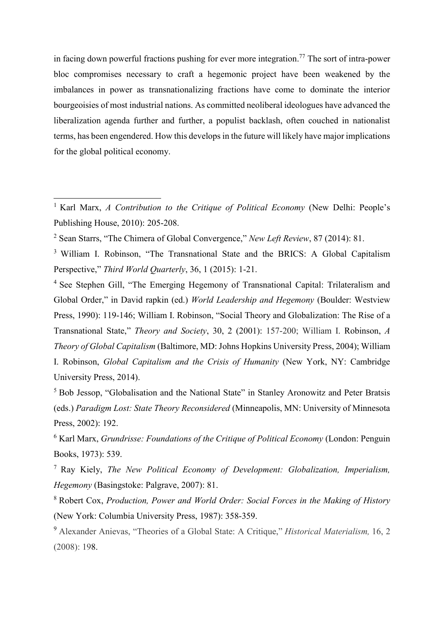in facing down powerful fractions pushing for ever more integration.<sup>77</sup> The sort of intra-power bloc compromises necessary to craft a hegemonic project have been weakened by the imbalances in power as transnationalizing fractions have come to dominate the interior bourgeoisies of most industrial nations. As committed neoliberal ideologues have advanced the liberalization agenda further and further, a populist backlash, often couched in nationalist terms, has been engendered. How this develops in the future will likely have major implications for the global political economy.

<sup>2</sup> Sean Starrs, "The Chimera of Global Convergence," *New Left Review*, 87 (2014): 81.

1

<sup>3</sup> William I. Robinson, "The Transnational State and the BRICS: A Global Capitalism Perspective," *Third World Quarterly*, 36, 1 (2015): 1-21.

<sup>4</sup> See Stephen Gill, "The Emerging Hegemony of Transnational Capital: Trilateralism and Global Order," in David rapkin (ed.) *World Leadership and Hegemony* (Boulder: Westview Press, 1990): 119-146; William I. Robinson, "Social Theory and Globalization: The Rise of a Transnational State," *Theory and Society*, 30, 2 (2001): 157-200; William I. Robinson, *A Theory of Global Capitalism* (Baltimore, MD: Johns Hopkins University Press, 2004); William I. Robinson, *Global Capitalism and the Crisis of Humanity* (New York, NY: Cambridge University Press, 2014).

<sup>5</sup> Bob Jessop, "Globalisation and the National State" in Stanley Aronowitz and Peter Bratsis (eds.) *Paradigm Lost: State Theory Reconsidered* (Minneapolis, MN: University of Minnesota Press, 2002): 192.

<sup>6</sup> Karl Marx, *Grundrisse: Foundations of the Critique of Political Economy* (London: Penguin Books, 1973): 539.

<sup>7</sup> Ray Kiely, *The New Political Economy of Development: Globalization, Imperialism, Hegemony* (Basingstoke: Palgrave, 2007): 81.

<sup>8</sup> Robert Cox, *Production, Power and World Order: Social Forces in the Making of History* (New York: Columbia University Press, 1987): 358-359.

<sup>9</sup> Alexander Anievas, "Theories of a Global State: A Critique," *Historical Materialism,* 16, 2 (2008): 198.

<sup>&</sup>lt;sup>1</sup> Karl Marx, *A Contribution to the Critique of Political Economy* (New Delhi: People's Publishing House, 2010): 205-208.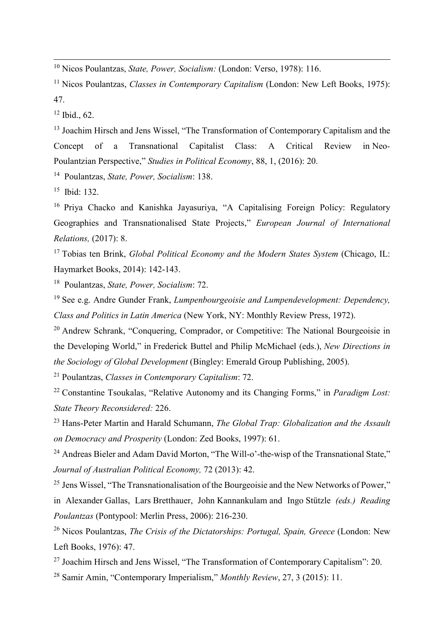<sup>10</sup> Nicos Poulantzas, *State, Power, Socialism:* (London: Verso, 1978): 116.

<sup>11</sup> Nicos Poulantzas, *Classes in Contemporary Capitalism* (London: New Left Books, 1975): 47.

 $12$  Ibid., 62.

1

<sup>13</sup> Joachim Hirsch and Jens Wissel, "The Transformation of Contemporary Capitalism and the Concept of a Transnational Capitalist Class: A Critical Review in Neo*-*Poulantzian Perspective," *Studies in Political Economy*, 88, 1, (2016): 20.

<sup>14</sup> Poulantzas, *State, Power, Socialism*: 138.

 $15$  Ibid: 132.

<sup>16</sup> Priya Chacko and Kanishka Jayasuriya, "A Capitalising Foreign Policy: Regulatory Geographies and Transnationalised State Projects," *European Journal of International Relations,* (2017): 8.

<sup>17</sup> Tobias ten Brink, *Global Political Economy and the Modern States System* (Chicago, IL: Haymarket Books, 2014): 142-143.

<sup>18</sup> Poulantzas, *State, Power, Socialism*: 72.

<sup>19</sup> See e.g. Andre Gunder Frank, *Lumpenbourgeoisie and Lumpendevelopment: Dependency, Class and Politics in Latin America* (New York, NY: Monthly Review Press, 1972).

<sup>20</sup> Andrew Schrank, "Conquering, Comprador, or Competitive: The National Bourgeoisie in the Developing World," in Frederick Buttel and Philip McMichael (eds.), *New Directions in the Sociology of Global Development* (Bingley: Emerald Group Publishing, 2005).

<sup>21</sup> Poulantzas, *Classes in Contemporary Capitalism*: 72.

<sup>22</sup> Constantine Tsoukalas, "Relative Autonomy and its Changing Forms," in *Paradigm Lost: State Theory Reconsidered:* 226.

<sup>23</sup> Hans-Peter Martin and Harald Schumann, *The Global Trap: Globalization and the Assault on Democracy and Prosperity* (London: Zed Books, 1997): 61.

<sup>24</sup> Andreas Bieler and Adam David Morton, "The Will-o'-the-wisp of the Transnational State," *Journal of Australian Political Economy,* 72 (2013): 42.

<sup>25</sup> Jens Wissel, "The Transnationalisation of the Bourgeoisie and the New Networks of Power," in Alexander Gallas, Lars Bretthauer, John Kannankulam and Ingo Stützle *(eds.) Reading Poulantzas* (Pontypool: Merlin Press, 2006): 216-230.

<sup>26</sup> Nicos Poulantzas, *The Crisis of the Dictatorships: Portugal, Spain, Greece* (London: New Left Books, 1976): 47.

<sup>27</sup> Joachim Hirsch and Jens Wissel, "The Transformation of Contemporary Capitalism": 20.

<sup>28</sup> Samir Amin, "Contemporary Imperialism," *Monthly Review*, 27, 3 (2015): 11.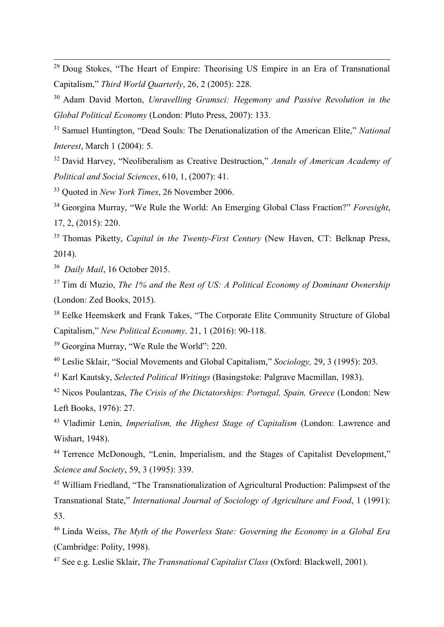<sup>29</sup> Doug Stokes, "The Heart of Empire: Theorising US Empire in an Era of Transnational Capitalism," *Third World Quarterly*, 26, 2 (2005): 228.

<sup>30</sup> Adam David Morton, *Unravelling Gramsci: Hegemony and Passive Revolution in the Global Political Economy* (London: Pluto Press, 2007): 133.

<sup>31</sup> Samuel Huntington, "Dead Souls: The Denationalization of the American Elite," *National Interest*, March 1 (2004): 5.

<sup>32</sup> David Harvey, "Neoliberalism as Creative Destruction," *Annals of American Academy of Political and Social Sciences*, 610, 1, (2007): 41.

<sup>33</sup> Quoted in *New York Times*, 26 November 2006.

<sup>34</sup> Georgina Murray, "We Rule the World: An Emerging Global Class Fraction?" *Foresight*, 17, 2, (2015): 220.

<sup>35</sup> Thomas Piketty, *Capital in the Twenty-First Century* (New Haven, CT: Belknap Press, 2014).

<sup>36</sup> *Daily Mail*, 16 October 2015.

1

<sup>37</sup> Tim di Muzio, *The 1% and the Rest of US: A Political Economy of Dominant Ownership* (London: Zed Books, 2015).

<sup>38</sup> Eelke Heemskerk and Frank Takes, "The Corporate Elite Community Structure of Global Capitalism," *New Political Economy,* 21, 1 (2016): 90-118.

<sup>39</sup> Georgina Murray, "We Rule the World": 220.

<sup>40</sup> Leslie Sklair, "Social Movements and Global Capitalism," *Sociology,* 29, 3 (1995): 203.

<sup>41</sup> Karl Kautsky, *Selected Political Writings* (Basingstoke: Palgrave Macmillan, 1983).

<sup>42</sup> Nicos Poulantzas, *The Crisis of the Dictatorships: Portugal, Spain, Greece* (London: New Left Books, 1976): 27.

<sup>43</sup> Vladimir Lenin, *Imperialism, the Highest Stage of Capitalism* (London: Lawrence and Wishart, 1948).

<sup>44</sup> Terrence McDonough, "Lenin, Imperialism, and the Stages of Capitalist Development," *Science and Society*, 59, 3 (1995): 339.

<sup>45</sup> William Friedland, "The Transnationalization of Agricultural Production: Palimpsest of the Transnational State," *International Journal of Sociology of Agriculture and Food*, 1 (1991): 53.

<sup>46</sup> Linda Weiss, *The Myth of the Powerless State: Governing the Economy in a Global Era* (Cambridge: Polity, 1998).

<sup>47</sup> See e.g. Leslie Sklair, *The Transnational Capitalist Class* (Oxford: Blackwell, 2001).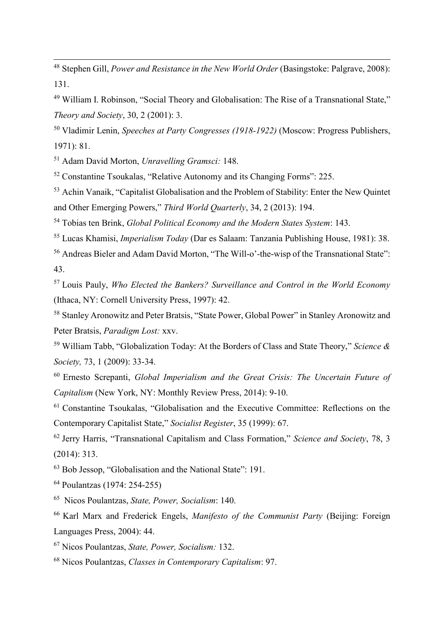<sup>48</sup> Stephen Gill, *Power and Resistance in the New World Order* (Basingstoke: Palgrave, 2008): 131.

 William I. Robinson, "Social Theory and Globalisation: The Rise of a Transnational State," *Theory and Society*, 30, 2 (2001): 3.

 Vladimir Lenin, *Speeches at Party Congresses (1918-1922)* (Moscow: Progress Publishers, 1971): 81.

Adam David Morton, *Unravelling Gramsci:* 148.

Constantine Tsoukalas, "Relative Autonomy and its Changing Forms": 225.

 Achin Vanaik, "Capitalist Globalisation and the Problem of Stability: Enter the New Quintet and Other Emerging Powers," *Third World Quarterly*, 34, 2 (2013): 194.

Tobias ten Brink, *Global Political Economy and the Modern States System*: 143.

Lucas Khamisi, *Imperialism Today* (Dar es Salaam: Tanzania Publishing House, 1981): 38.

 Andreas Bieler and Adam David Morton, "The Will-o'-the-wisp of the Transnational State": 43.

 Louis Pauly, *Who Elected the Bankers? Surveillance and Control in the World Economy*  (Ithaca, NY: Cornell University Press, 1997): 42.

 Stanley Aronowitz and Peter Bratsis, "State Power, Global Power" in Stanley Aronowitz and Peter Bratsis, *Paradigm Lost:* xxv.

 William Tabb, "Globalization Today: At the Borders of Class and State Theory," *Science & Society,* 73, 1 (2009): 33-34.

 Ernesto Screpanti, *Global Imperialism and the Great Crisis: The Uncertain Future of Capitalism* (New York, NY: Monthly Review Press, 2014): 9-10.

 Constantine Tsoukalas, "Globalisation and the Executive Committee: Reflections on the Contemporary Capitalist State," *Socialist Register*, 35 (1999): 67.

 Jerry Harris, "Transnational Capitalism and Class Formation," *Science and Society*, 78, 3 (2014): 313.

Bob Jessop, "Globalisation and the National State": 191.

Poulantzas (1974: 254-255)

Nicos Poulantzas, *State, Power, Socialism*: 140.

 Karl Marx and Frederick Engels, *Manifesto of the Communist Party* (Beijing: Foreign Languages Press, 2004): 44.

Nicos Poulantzas, *State, Power, Socialism:* 132.

Nicos Poulantzas, *Classes in Contemporary Capitalism*: 97.